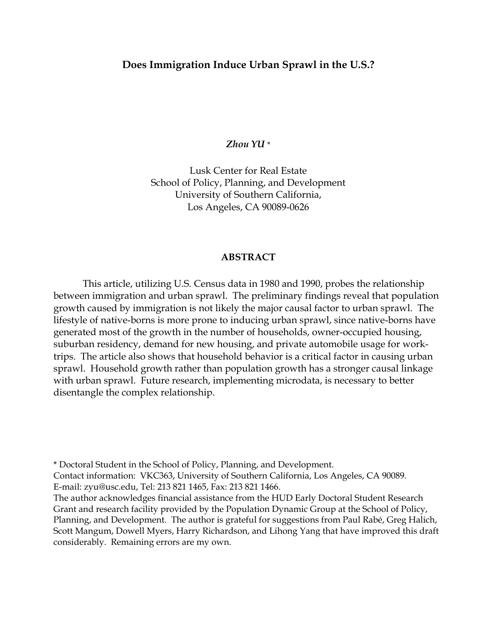# **Does Immigration Induce Urban Sprawl in the U.S.?**

*Zhou YU* \*

Lusk Center for Real Estate School of Policy, Planning, and Development University of Southern California, Los Angeles, CA 90089-0626

#### **ABSTRACT**

This article, utilizing U.S. Census data in 1980 and 1990, probes the relationship between immigration and urban sprawl. The preliminary findings reveal that population growth caused by immigration is not likely the major causal factor to urban sprawl. The lifestyle of native-borns is more prone to inducing urban sprawl, since native-borns have generated most of the growth in the number of households, owner-occupied housing, suburban residency, demand for new housing, and private automobile usage for worktrips. The article also shows that household behavior is a critical factor in causing urban sprawl. Household growth rather than population growth has a stronger causal linkage with urban sprawl. Future research, implementing microdata, is necessary to better disentangle the complex relationship.

\* Doctoral Student in the School of Policy, Planning, and Development.

Contact information: VKC363, University of Southern California, Los Angeles, CA 90089. E-mail: zyu@usc.edu, Tel: 213 821 1465, Fax: 213 821 1466.

The author acknowledges financial assistance from the HUD Early Doctoral Student Research Grant and research facility provided by the Population Dynamic Group at the School of Policy, Planning, and Development. The author is grateful for suggestions from Paul Rabé, Greg Halich, Scott Mangum, Dowell Myers, Harry Richardson, and Lihong Yang that have improved this draft considerably. Remaining errors are my own.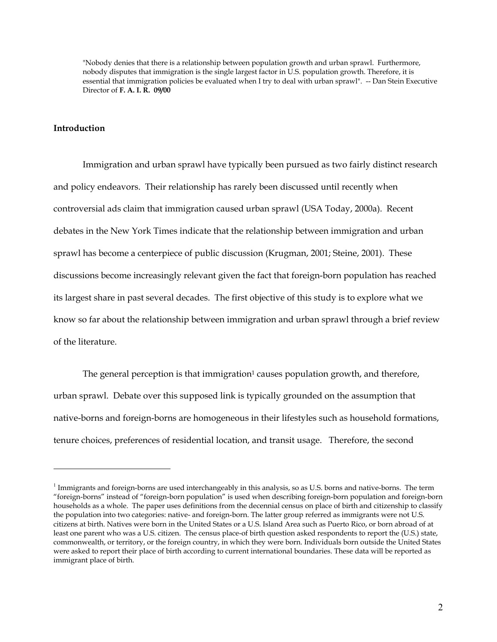"Nobody denies that there is a relationship between population growth and urban sprawl. Furthermore, nobody disputes that immigration is the single largest factor in U.S. population growth. Therefore, it is essential that immigration policies be evaluated when I try to deal with urban sprawl". -- Dan Stein Executive Director of **F. A. I. R. 09/00** 

#### **Introduction**

1

Immigration and urban sprawl have typically been pursued as two fairly distinct research and policy endeavors. Their relationship has rarely been discussed until recently when controversial ads claim that immigration caused urban sprawl (USA Today, 2000a). Recent debates in the New York Times indicate that the relationship between immigration and urban sprawl has become a centerpiece of public discussion (Krugman, 2001; Steine, 2001). These discussions become increasingly relevant given the fact that foreign-born population has reached its largest share in past several decades. The first objective of this study is to explore what we know so far about the relationship between immigration and urban sprawl through a brief review of the literature.

The general perception is that immigration<sup>1</sup> causes population growth, and therefore, urban sprawl. Debate over this supposed link is typically grounded on the assumption that native-borns and foreign-borns are homogeneous in their lifestyles such as household formations, tenure choices, preferences of residential location, and transit usage. Therefore, the second

 $1$  Immigrants and foreign-borns are used interchangeably in this analysis, so as U.S. borns and native-borns. The term "foreign-borns" instead of "foreign-born population" is used when describing foreign-born population and foreign-born households as a whole. The paper uses definitions from the decennial census on place of birth and citizenship to classify the population into two categories: native- and foreign-born. The latter group referred as immigrants were not U.S. citizens at birth. Natives were born in the United States or a U.S. Island Area such as Puerto Rico, or born abroad of at least one parent who was a U.S. citizen. The census place-of birth question asked respondents to report the (U.S.) state, commonwealth, or territory, or the foreign country, in which they were born. Individuals born outside the United States were asked to report their place of birth according to current international boundaries. These data will be reported as immigrant place of birth.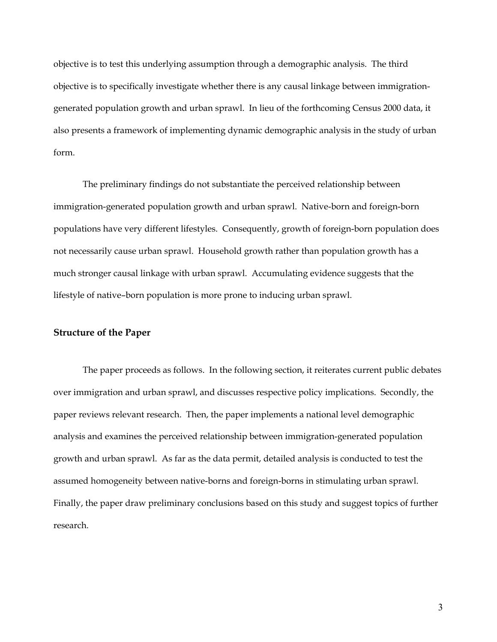objective is to test this underlying assumption through a demographic analysis. The third objective is to specifically investigate whether there is any causal linkage between immigrationgenerated population growth and urban sprawl. In lieu of the forthcoming Census 2000 data, it also presents a framework of implementing dynamic demographic analysis in the study of urban form.

The preliminary findings do not substantiate the perceived relationship between immigration-generated population growth and urban sprawl. Native-born and foreign-born populations have very different lifestyles. Consequently, growth of foreign-born population does not necessarily cause urban sprawl. Household growth rather than population growth has a much stronger causal linkage with urban sprawl. Accumulating evidence suggests that the lifestyle of native–born population is more prone to inducing urban sprawl.

#### **Structure of the Paper**

The paper proceeds as follows. In the following section, it reiterates current public debates over immigration and urban sprawl, and discusses respective policy implications. Secondly, the paper reviews relevant research. Then, the paper implements a national level demographic analysis and examines the perceived relationship between immigration-generated population growth and urban sprawl. As far as the data permit, detailed analysis is conducted to test the assumed homogeneity between native-borns and foreign-borns in stimulating urban sprawl. Finally, the paper draw preliminary conclusions based on this study and suggest topics of further research.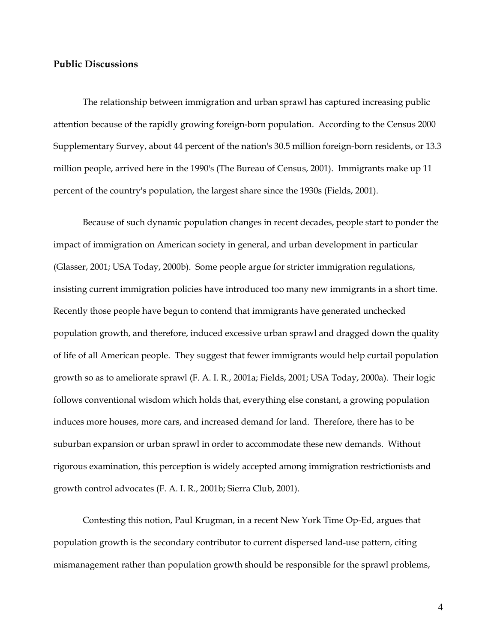# **Public Discussions**

The relationship between immigration and urban sprawl has captured increasing public attention because of the rapidly growing foreign-born population. According to the Census 2000 Supplementary Survey, about 44 percent of the nation's 30.5 million foreign-born residents, or 13.3 million people, arrived here in the 1990's (The Bureau of Census, 2001). Immigrants make up 11 percent of the country's population, the largest share since the 1930s (Fields, 2001).

Because of such dynamic population changes in recent decades, people start to ponder the impact of immigration on American society in general, and urban development in particular (Glasser, 2001; USA Today, 2000b). Some people argue for stricter immigration regulations, insisting current immigration policies have introduced too many new immigrants in a short time. Recently those people have begun to contend that immigrants have generated unchecked population growth, and therefore, induced excessive urban sprawl and dragged down the quality of life of all American people. They suggest that fewer immigrants would help curtail population growth so as to ameliorate sprawl (F. A. I. R., 2001a; Fields, 2001; USA Today, 2000a). Their logic follows conventional wisdom which holds that, everything else constant, a growing population induces more houses, more cars, and increased demand for land. Therefore, there has to be suburban expansion or urban sprawl in order to accommodate these new demands. Without rigorous examination, this perception is widely accepted among immigration restrictionists and growth control advocates (F. A. I. R., 2001b; Sierra Club, 2001).

Contesting this notion, Paul Krugman, in a recent New York Time Op-Ed, argues that population growth is the secondary contributor to current dispersed land-use pattern, citing mismanagement rather than population growth should be responsible for the sprawl problems,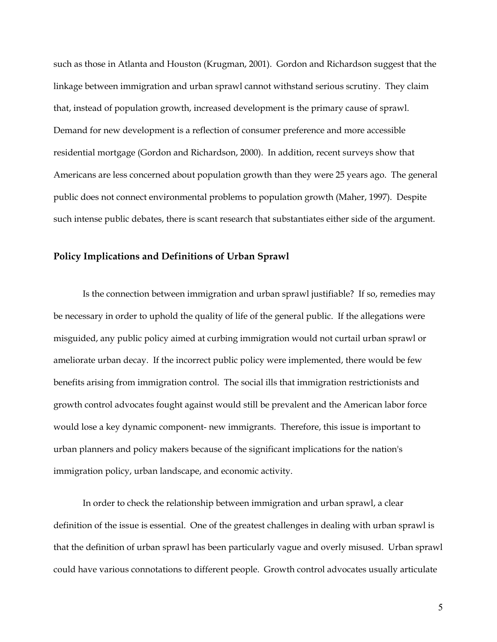such as those in Atlanta and Houston (Krugman, 2001). Gordon and Richardson suggest that the linkage between immigration and urban sprawl cannot withstand serious scrutiny. They claim that, instead of population growth, increased development is the primary cause of sprawl. Demand for new development is a reflection of consumer preference and more accessible residential mortgage (Gordon and Richardson, 2000). In addition, recent surveys show that Americans are less concerned about population growth than they were 25 years ago. The general public does not connect environmental problems to population growth (Maher, 1997). Despite such intense public debates, there is scant research that substantiates either side of the argument.

## **Policy Implications and Definitions of Urban Sprawl**

Is the connection between immigration and urban sprawl justifiable? If so, remedies may be necessary in order to uphold the quality of life of the general public. If the allegations were misguided, any public policy aimed at curbing immigration would not curtail urban sprawl or ameliorate urban decay. If the incorrect public policy were implemented, there would be few benefits arising from immigration control. The social ills that immigration restrictionists and growth control advocates fought against would still be prevalent and the American labor force would lose a key dynamic component- new immigrants. Therefore, this issue is important to urban planners and policy makers because of the significant implications for the nation's immigration policy, urban landscape, and economic activity.

In order to check the relationship between immigration and urban sprawl, a clear definition of the issue is essential. One of the greatest challenges in dealing with urban sprawl is that the definition of urban sprawl has been particularly vague and overly misused. Urban sprawl could have various connotations to different people. Growth control advocates usually articulate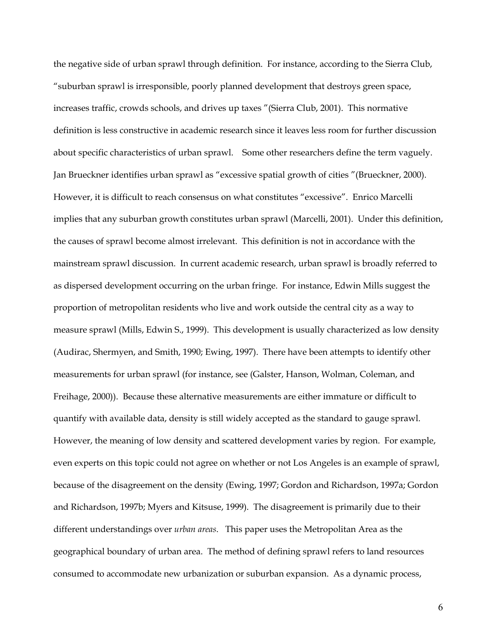the negative side of urban sprawl through definition. For instance, according to the Sierra Club, "suburban sprawl is irresponsible, poorly planned development that destroys green space, increases traffic, crowds schools, and drives up taxes "(Sierra Club, 2001). This normative definition is less constructive in academic research since it leaves less room for further discussion about specific characteristics of urban sprawl. Some other researchers define the term vaguely. Jan Brueckner identifies urban sprawl as "excessive spatial growth of cities "(Brueckner, 2000). However, it is difficult to reach consensus on what constitutes "excessive". Enrico Marcelli implies that any suburban growth constitutes urban sprawl (Marcelli, 2001). Under this definition, the causes of sprawl become almost irrelevant. This definition is not in accordance with the mainstream sprawl discussion. In current academic research, urban sprawl is broadly referred to as dispersed development occurring on the urban fringe. For instance, Edwin Mills suggest the proportion of metropolitan residents who live and work outside the central city as a way to measure sprawl (Mills, Edwin S., 1999). This development is usually characterized as low density (Audirac, Shermyen, and Smith, 1990; Ewing, 1997). There have been attempts to identify other measurements for urban sprawl (for instance, see (Galster, Hanson, Wolman, Coleman, and Freihage, 2000)). Because these alternative measurements are either immature or difficult to quantify with available data, density is still widely accepted as the standard to gauge sprawl. However, the meaning of low density and scattered development varies by region. For example, even experts on this topic could not agree on whether or not Los Angeles is an example of sprawl, because of the disagreement on the density (Ewing, 1997; Gordon and Richardson, 1997a; Gordon and Richardson, 1997b; Myers and Kitsuse, 1999). The disagreement is primarily due to their different understandings over *urban areas*. This paper uses the Metropolitan Area as the geographical boundary of urban area. The method of defining sprawl refers to land resources consumed to accommodate new urbanization or suburban expansion. As a dynamic process,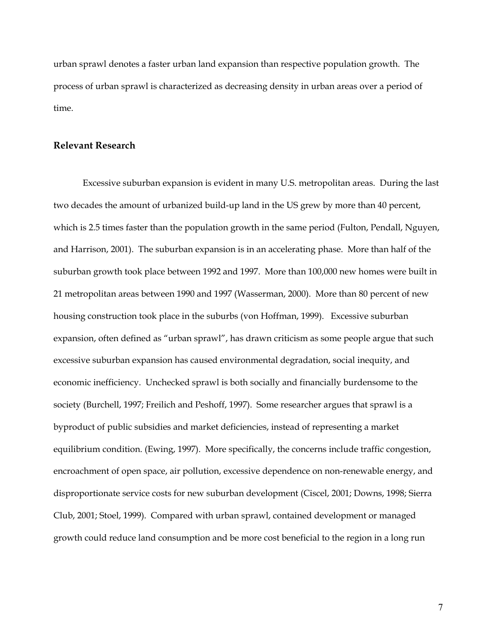urban sprawl denotes a faster urban land expansion than respective population growth. The process of urban sprawl is characterized as decreasing density in urban areas over a period of time.

#### **Relevant Research**

Excessive suburban expansion is evident in many U.S. metropolitan areas. During the last two decades the amount of urbanized build-up land in the US grew by more than 40 percent, which is 2.5 times faster than the population growth in the same period (Fulton, Pendall, Nguyen, and Harrison, 2001). The suburban expansion is in an accelerating phase. More than half of the suburban growth took place between 1992 and 1997. More than 100,000 new homes were built in 21 metropolitan areas between 1990 and 1997 (Wasserman, 2000). More than 80 percent of new housing construction took place in the suburbs (von Hoffman, 1999). Excessive suburban expansion, often defined as "urban sprawl", has drawn criticism as some people argue that such excessive suburban expansion has caused environmental degradation, social inequity, and economic inefficiency. Unchecked sprawl is both socially and financially burdensome to the society (Burchell, 1997; Freilich and Peshoff, 1997). Some researcher argues that sprawl is a byproduct of public subsidies and market deficiencies, instead of representing a market equilibrium condition. (Ewing, 1997). More specifically, the concerns include traffic congestion, encroachment of open space, air pollution, excessive dependence on non-renewable energy, and disproportionate service costs for new suburban development (Ciscel, 2001; Downs, 1998; Sierra Club, 2001; Stoel, 1999). Compared with urban sprawl, contained development or managed growth could reduce land consumption and be more cost beneficial to the region in a long run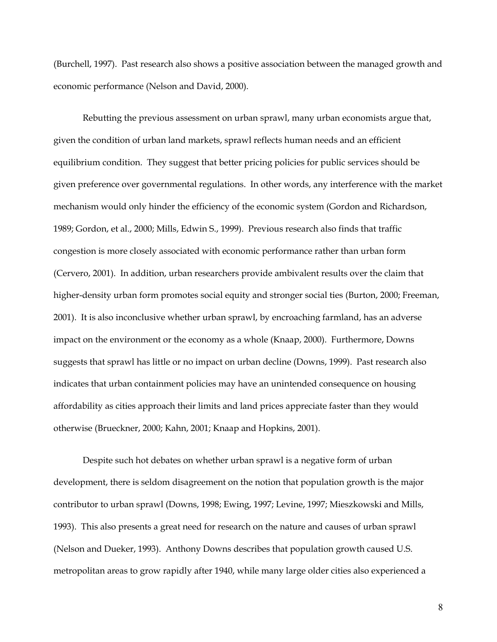(Burchell, 1997). Past research also shows a positive association between the managed growth and economic performance (Nelson and David, 2000).

Rebutting the previous assessment on urban sprawl, many urban economists argue that, given the condition of urban land markets, sprawl reflects human needs and an efficient equilibrium condition. They suggest that better pricing policies for public services should be given preference over governmental regulations. In other words, any interference with the market mechanism would only hinder the efficiency of the economic system (Gordon and Richardson, 1989; Gordon, et al., 2000; Mills, Edwin S., 1999). Previous research also finds that traffic congestion is more closely associated with economic performance rather than urban form (Cervero, 2001). In addition, urban researchers provide ambivalent results over the claim that higher-density urban form promotes social equity and stronger social ties (Burton, 2000; Freeman, 2001). It is also inconclusive whether urban sprawl, by encroaching farmland, has an adverse impact on the environment or the economy as a whole (Knaap, 2000). Furthermore, Downs suggests that sprawl has little or no impact on urban decline (Downs, 1999). Past research also indicates that urban containment policies may have an unintended consequence on housing affordability as cities approach their limits and land prices appreciate faster than they would otherwise (Brueckner, 2000; Kahn, 2001; Knaap and Hopkins, 2001).

Despite such hot debates on whether urban sprawl is a negative form of urban development, there is seldom disagreement on the notion that population growth is the major contributor to urban sprawl (Downs, 1998; Ewing, 1997; Levine, 1997; Mieszkowski and Mills, 1993). This also presents a great need for research on the nature and causes of urban sprawl (Nelson and Dueker, 1993). Anthony Downs describes that population growth caused U.S. metropolitan areas to grow rapidly after 1940, while many large older cities also experienced a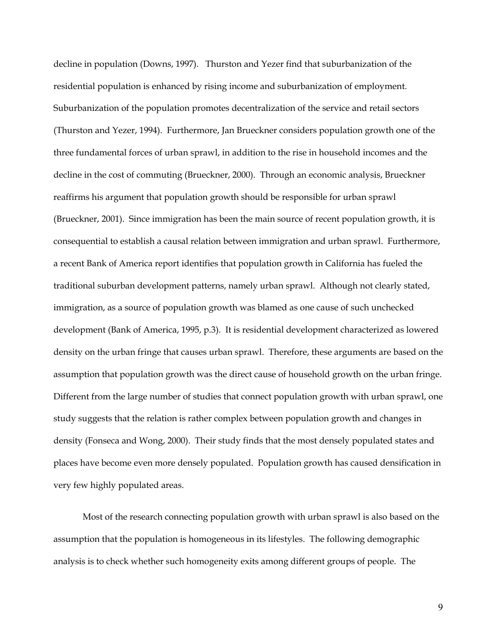decline in population (Downs, 1997). Thurston and Yezer find that suburbanization of the residential population is enhanced by rising income and suburbanization of employment. Suburbanization of the population promotes decentralization of the service and retail sectors (Thurston and Yezer, 1994). Furthermore, Jan Brueckner considers population growth one of the three fundamental forces of urban sprawl, in addition to the rise in household incomes and the decline in the cost of commuting (Brueckner, 2000). Through an economic analysis, Brueckner reaffirms his argument that population growth should be responsible for urban sprawl (Brueckner, 2001). Since immigration has been the main source of recent population growth, it is consequential to establish a causal relation between immigration and urban sprawl. Furthermore, a recent Bank of America report identifies that population growth in California has fueled the traditional suburban development patterns, namely urban sprawl. Although not clearly stated, immigration, as a source of population growth was blamed as one cause of such unchecked development (Bank of America, 1995, p.3). It is residential development characterized as lowered density on the urban fringe that causes urban sprawl. Therefore, these arguments are based on the assumption that population growth was the direct cause of household growth on the urban fringe. Different from the large number of studies that connect population growth with urban sprawl, one study suggests that the relation is rather complex between population growth and changes in density (Fonseca and Wong, 2000). Their study finds that the most densely populated states and places have become even more densely populated. Population growth has caused densification in very few highly populated areas.

Most of the research connecting population growth with urban sprawl is also based on the assumption that the population is homogeneous in its lifestyles. The following demographic analysis is to check whether such homogeneity exits among different groups of people. The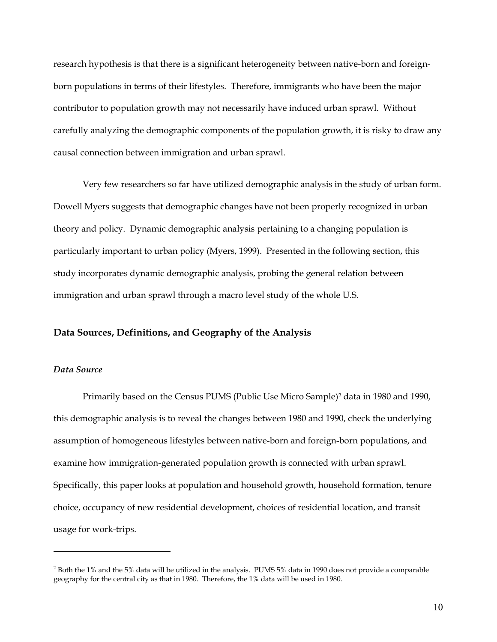research hypothesis is that there is a significant heterogeneity between native-born and foreignborn populations in terms of their lifestyles. Therefore, immigrants who have been the major contributor to population growth may not necessarily have induced urban sprawl. Without carefully analyzing the demographic components of the population growth, it is risky to draw any causal connection between immigration and urban sprawl.

Very few researchers so far have utilized demographic analysis in the study of urban form. Dowell Myers suggests that demographic changes have not been properly recognized in urban theory and policy. Dynamic demographic analysis pertaining to a changing population is particularly important to urban policy (Myers, 1999). Presented in the following section, this study incorporates dynamic demographic analysis, probing the general relation between immigration and urban sprawl through a macro level study of the whole U.S.

#### **Data Sources, Definitions, and Geography of the Analysis**

## *Data Source*

<u>.</u>

Primarily based on the Census PUMS (Public Use Micro Sample)2 data in 1980 and 1990, this demographic analysis is to reveal the changes between 1980 and 1990, check the underlying assumption of homogeneous lifestyles between native-born and foreign-born populations, and examine how immigration-generated population growth is connected with urban sprawl. Specifically, this paper looks at population and household growth, household formation, tenure choice, occupancy of new residential development, choices of residential location, and transit usage for work-trips.

<sup>&</sup>lt;sup>2</sup> Both the 1% and the 5% data will be utilized in the analysis. PUMS 5% data in 1990 does not provide a comparable geography for the central city as that in 1980. Therefore, the 1% data will be used in 1980.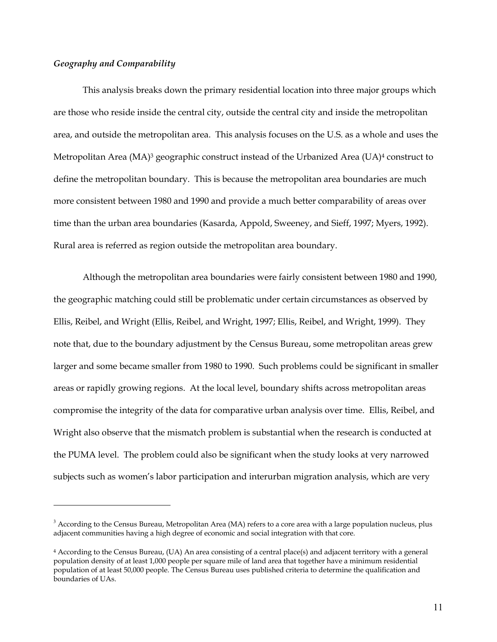#### *Geography and Comparability*

<u>.</u>

This analysis breaks down the primary residential location into three major groups which are those who reside inside the central city, outside the central city and inside the metropolitan area, and outside the metropolitan area. This analysis focuses on the U.S. as a whole and uses the Metropolitan Area (MA)<sup>3</sup> geographic construct instead of the Urbanized Area (UA)<sup>4</sup> construct to define the metropolitan boundary. This is because the metropolitan area boundaries are much more consistent between 1980 and 1990 and provide a much better comparability of areas over time than the urban area boundaries (Kasarda, Appold, Sweeney, and Sieff, 1997; Myers, 1992). Rural area is referred as region outside the metropolitan area boundary.

Although the metropolitan area boundaries were fairly consistent between 1980 and 1990, the geographic matching could still be problematic under certain circumstances as observed by Ellis, Reibel, and Wright (Ellis, Reibel, and Wright, 1997; Ellis, Reibel, and Wright, 1999). They note that, due to the boundary adjustment by the Census Bureau, some metropolitan areas grew larger and some became smaller from 1980 to 1990. Such problems could be significant in smaller areas or rapidly growing regions. At the local level, boundary shifts across metropolitan areas compromise the integrity of the data for comparative urban analysis over time. Ellis, Reibel, and Wright also observe that the mismatch problem is substantial when the research is conducted at the PUMA level. The problem could also be significant when the study looks at very narrowed subjects such as women's labor participation and interurban migration analysis, which are very

 $3$  According to the Census Bureau, Metropolitan Area (MA) refers to a core area with a large population nucleus, plus adjacent communities having a high degree of economic and social integration with that core.

<sup>4</sup> According to the Census Bureau, (UA) An area consisting of a central place(s) and adjacent territory with a general population density of at least 1,000 people per square mile of land area that together have a minimum residential population of at least 50,000 people. The Census Bureau uses published criteria to determine the qualification and boundaries of UAs.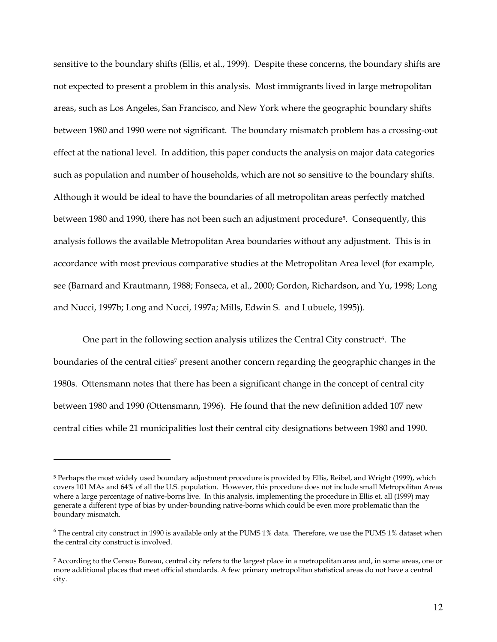sensitive to the boundary shifts (Ellis, et al., 1999). Despite these concerns, the boundary shifts are not expected to present a problem in this analysis. Most immigrants lived in large metropolitan areas, such as Los Angeles, San Francisco, and New York where the geographic boundary shifts between 1980 and 1990 were not significant. The boundary mismatch problem has a crossing-out effect at the national level. In addition, this paper conducts the analysis on major data categories such as population and number of households, which are not so sensitive to the boundary shifts. Although it would be ideal to have the boundaries of all metropolitan areas perfectly matched between 1980 and 1990, there has not been such an adjustment procedure<sup>5</sup>. Consequently, this analysis follows the available Metropolitan Area boundaries without any adjustment. This is in accordance with most previous comparative studies at the Metropolitan Area level (for example, see (Barnard and Krautmann, 1988; Fonseca, et al., 2000; Gordon, Richardson, and Yu, 1998; Long and Nucci, 1997b; Long and Nucci, 1997a; Mills, Edwin S. and Lubuele, 1995)).

One part in the following section analysis utilizes the Central City construct<sup>6</sup>. The boundaries of the central cities<sup>7</sup> present another concern regarding the geographic changes in the 1980s. Ottensmann notes that there has been a significant change in the concept of central city between 1980 and 1990 (Ottensmann, 1996). He found that the new definition added 107 new central cities while 21 municipalities lost their central city designations between 1980 and 1990.

<sup>5</sup> Perhaps the most widely used boundary adjustment procedure is provided by Ellis, Reibel, and Wright (1999), which covers 101 MAs and 64% of all the U.S. population. However, this procedure does not include small Metropolitan Areas where a large percentage of native-borns live. In this analysis, implementing the procedure in Ellis et. all (1999) may generate a different type of bias by under-bounding native-borns which could be even more problematic than the boundary mismatch.

 $6$  The central city construct in 1990 is available only at the PUMS 1% data. Therefore, we use the PUMS 1% dataset when the central city construct is involved.

<sup>7</sup> According to the Census Bureau, central city refers to the largest place in a metropolitan area and, in some areas, one or more additional places that meet official standards. A few primary metropolitan statistical areas do not have a central city.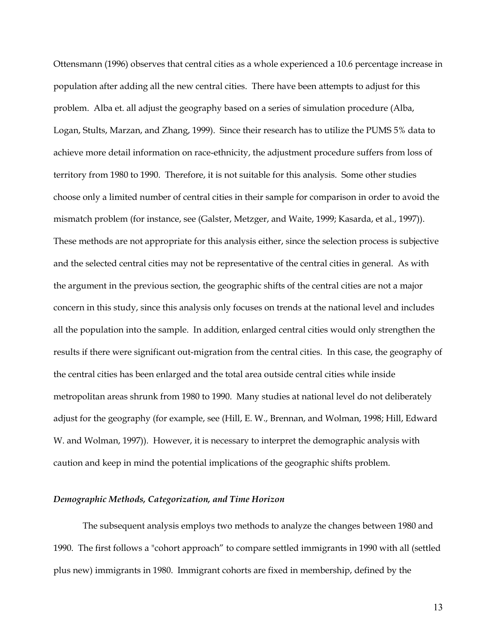Ottensmann (1996) observes that central cities as a whole experienced a 10.6 percentage increase in population after adding all the new central cities. There have been attempts to adjust for this problem. Alba et. all adjust the geography based on a series of simulation procedure (Alba, Logan, Stults, Marzan, and Zhang, 1999). Since their research has to utilize the PUMS 5% data to achieve more detail information on race-ethnicity, the adjustment procedure suffers from loss of territory from 1980 to 1990. Therefore, it is not suitable for this analysis. Some other studies choose only a limited number of central cities in their sample for comparison in order to avoid the mismatch problem (for instance, see (Galster, Metzger, and Waite, 1999; Kasarda, et al., 1997)). These methods are not appropriate for this analysis either, since the selection process is subjective and the selected central cities may not be representative of the central cities in general. As with the argument in the previous section, the geographic shifts of the central cities are not a major concern in this study, since this analysis only focuses on trends at the national level and includes all the population into the sample. In addition, enlarged central cities would only strengthen the results if there were significant out-migration from the central cities. In this case, the geography of the central cities has been enlarged and the total area outside central cities while inside metropolitan areas shrunk from 1980 to 1990. Many studies at national level do not deliberately adjust for the geography (for example, see (Hill, E. W., Brennan, and Wolman, 1998; Hill, Edward W. and Wolman, 1997)). However, it is necessary to interpret the demographic analysis with caution and keep in mind the potential implications of the geographic shifts problem.

## *Demographic Methods, Categorization, and Time Horizon*

The subsequent analysis employs two methods to analyze the changes between 1980 and 1990. The first follows a "cohort approach" to compare settled immigrants in 1990 with all (settled plus new) immigrants in 1980. Immigrant cohorts are fixed in membership, defined by the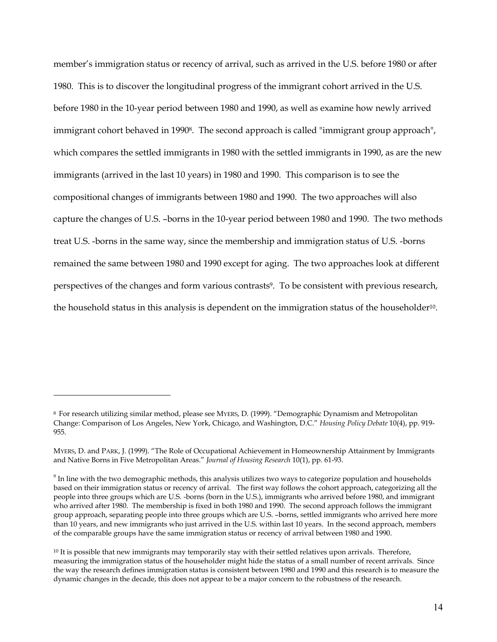member's immigration status or recency of arrival, such as arrived in the U.S. before 1980 or after 1980. This is to discover the longitudinal progress of the immigrant cohort arrived in the U.S. before 1980 in the 10-year period between 1980 and 1990, as well as examine how newly arrived immigrant cohort behaved in 1990<sup>8</sup>. The second approach is called "immigrant group approach", which compares the settled immigrants in 1980 with the settled immigrants in 1990, as are the new immigrants (arrived in the last 10 years) in 1980 and 1990. This comparison is to see the compositional changes of immigrants between 1980 and 1990. The two approaches will also capture the changes of U.S. –borns in the 10-year period between 1980 and 1990. The two methods treat U.S. -borns in the same way, since the membership and immigration status of U.S. -borns remained the same between 1980 and 1990 except for aging. The two approaches look at different perspectives of the changes and form various contrasts<sup>9</sup>. To be consistent with previous research, the household status in this analysis is dependent on the immigration status of the householder<sup>10</sup>.

<sup>8</sup> For research utilizing similar method, please see MYERS, D. (1999). "Demographic Dynamism and Metropolitan Change: Comparison of Los Angeles, New York, Chicago, and Washington, D.C." *Housing Policy Debate* 10(4), pp. 919- 955.

MYERS, D. and PARK, J. (1999). "The Role of Occupational Achievement in Homeownership Attainment by Immigrants and Native Borns in Five Metropolitan Areas." *Journal of Housing Research* 10(1), pp. 61-93.

 $9$  In line with the two demographic methods, this analysis utilizes two ways to categorize population and households based on their immigration status or recency of arrival. The first way follows the cohort approach, categorizing all the people into three groups which are U.S. -borns (born in the U.S.), immigrants who arrived before 1980, and immigrant who arrived after 1980. The membership is fixed in both 1980 and 1990. The second approach follows the immigrant group approach, separating people into three groups which are U.S. –borns, settled immigrants who arrived here more than 10 years, and new immigrants who just arrived in the U.S. within last 10 years. In the second approach, members of the comparable groups have the same immigration status or recency of arrival between 1980 and 1990.

<sup>&</sup>lt;sup>10</sup> It is possible that new immigrants may temporarily stay with their settled relatives upon arrivals. Therefore, measuring the immigration status of the householder might hide the status of a small number of recent arrivals. Since the way the research defines immigration status is consistent between 1980 and 1990 and this research is to measure the dynamic changes in the decade, this does not appear to be a major concern to the robustness of the research.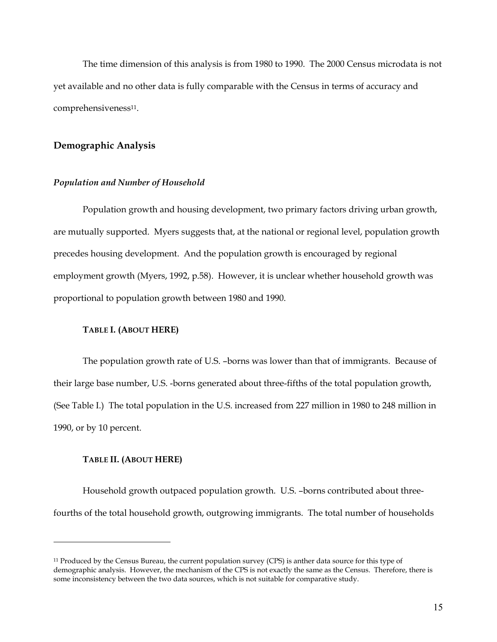The time dimension of this analysis is from 1980 to 1990. The 2000 Census microdata is not yet available and no other data is fully comparable with the Census in terms of accuracy and comprehensiveness<sup>11</sup>.

## **Demographic Analysis**

#### *Population and Number of Household*

Population growth and housing development, two primary factors driving urban growth, are mutually supported. Myers suggests that, at the national or regional level, population growth precedes housing development. And the population growth is encouraged by regional employment growth (Myers, 1992, p.58). However, it is unclear whether household growth was proportional to population growth between 1980 and 1990.

## **TABLE I. (ABOUT HERE)**

The population growth rate of U.S. –borns was lower than that of immigrants. Because of their large base number, U.S. -borns generated about three-fifths of the total population growth, (See Table I.) The total population in the U.S. increased from 227 million in 1980 to 248 million in 1990, or by 10 percent.

## **TABLE II. (ABOUT HERE)**

1

Household growth outpaced population growth. U.S. –borns contributed about threefourths of the total household growth, outgrowing immigrants. The total number of households

<sup>11</sup> Produced by the Census Bureau, the current population survey (CPS) is anther data source for this type of demographic analysis. However, the mechanism of the CPS is not exactly the same as the Census. Therefore, there is some inconsistency between the two data sources, which is not suitable for comparative study.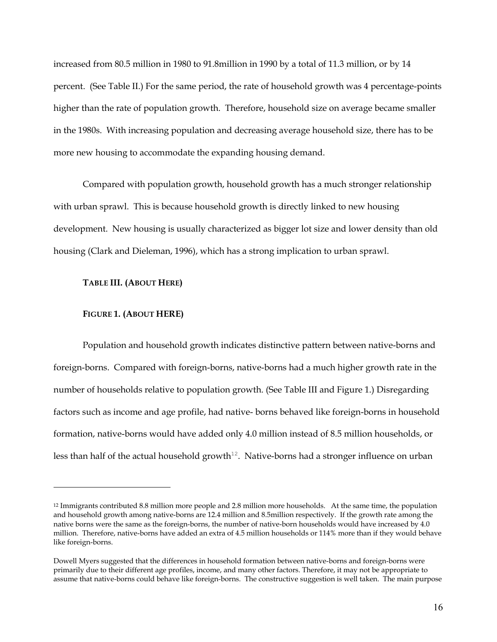increased from 80.5 million in 1980 to 91.8million in 1990 by a total of 11.3 million, or by 14 percent. (See Table II.) For the same period, the rate of household growth was 4 percentage-points higher than the rate of population growth. Therefore, household size on average became smaller in the 1980s. With increasing population and decreasing average household size, there has to be more new housing to accommodate the expanding housing demand.

Compared with population growth, household growth has a much stronger relationship with urban sprawl. This is because household growth is directly linked to new housing development. New housing is usually characterized as bigger lot size and lower density than old housing (Clark and Dieleman, 1996), which has a strong implication to urban sprawl.

#### **TABLE III. (ABOUT HERE)**

#### **FIGURE 1. (ABOUT HERE)**

1

Population and household growth indicates distinctive pattern between native-borns and foreign-borns. Compared with foreign-borns, native-borns had a much higher growth rate in the number of households relative to population growth. (See Table III and Figure 1.) Disregarding factors such as income and age profile, had native- borns behaved like foreign-borns in household formation, native-borns would have added only 4.0 million instead of 8.5 million households, or less than half of the actual household growth<sup>12</sup>. Native-borns had a stronger influence on urban

<sup>12</sup> Immigrants contributed 8.8 million more people and 2.8 million more households. At the same time, the population and household growth among native-borns are 12.4 million and 8.5million respectively. If the growth rate among the native borns were the same as the foreign-borns, the number of native-born households would have increased by 4.0 million. Therefore, native-borns have added an extra of 4.5 million households or 114% more than if they would behave like foreign-borns.

Dowell Myers suggested that the differences in household formation between native-borns and foreign-borns were primarily due to their different age profiles, income, and many other factors. Therefore, it may not be appropriate to assume that native-borns could behave like foreign-borns. The constructive suggestion is well taken. The main purpose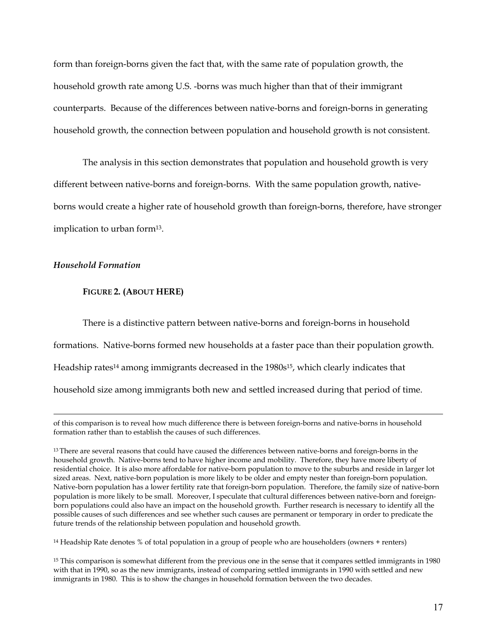form than foreign-borns given the fact that, with the same rate of population growth, the household growth rate among U.S. -borns was much higher than that of their immigrant counterparts. Because of the differences between native-borns and foreign-borns in generating household growth, the connection between population and household growth is not consistent.

The analysis in this section demonstrates that population and household growth is very different between native-borns and foreign-borns. With the same population growth, nativeborns would create a higher rate of household growth than foreign-borns, therefore, have stronger implication to urban form13.

# *Household Formation*

1

#### **FIGURE 2. (ABOUT HERE)**

There is a distinctive pattern between native-borns and foreign-borns in household formations. Native-borns formed new households at a faster pace than their population growth. Headship rates<sup>14</sup> among immigrants decreased in the 1980s<sup>15</sup>, which clearly indicates that household size among immigrants both new and settled increased during that period of time.

14 Headship Rate denotes % of total population in a group of people who are householders (owners + renters)

of this comparison is to reveal how much difference there is between foreign-borns and native-borns in household formation rather than to establish the causes of such differences.

<sup>&</sup>lt;sup>13</sup> There are several reasons that could have caused the differences between native-borns and foreign-borns in the household growth. Native-borns tend to have higher income and mobility. Therefore, they have more liberty of residential choice. It is also more affordable for native-born population to move to the suburbs and reside in larger lot sized areas. Next, native-born population is more likely to be older and empty nester than foreign-born population. Native-born population has a lower fertility rate that foreign-born population. Therefore, the family size of native-born population is more likely to be small. Moreover, I speculate that cultural differences between native-born and foreignborn populations could also have an impact on the household growth. Further research is necessary to identify all the possible causes of such differences and see whether such causes are permanent or temporary in order to predicate the future trends of the relationship between population and household growth.

<sup>&</sup>lt;sup>15</sup> This comparison is somewhat different from the previous one in the sense that it compares settled immigrants in 1980 with that in 1990, so as the new immigrants, instead of comparing settled immigrants in 1990 with settled and new immigrants in 1980. This is to show the changes in household formation between the two decades.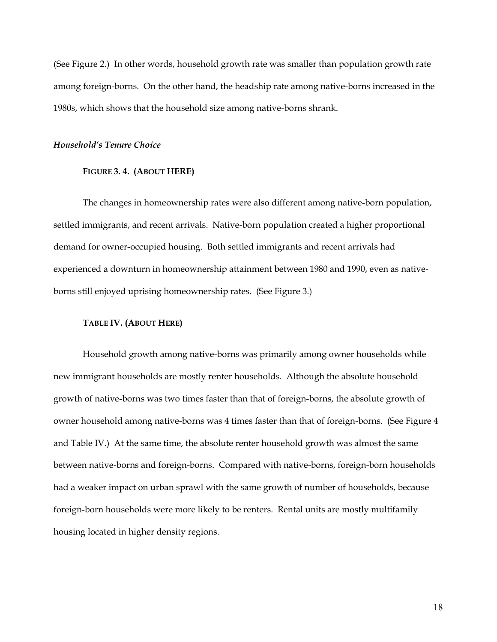(See Figure 2.) In other words, household growth rate was smaller than population growth rate among foreign-borns. On the other hand, the headship rate among native-borns increased in the 1980s, which shows that the household size among native-borns shrank.

#### *Household's Tenure Choice*

#### **FIGURE 3. 4. (ABOUT HERE)**

The changes in homeownership rates were also different among native-born population, settled immigrants, and recent arrivals. Native-born population created a higher proportional demand for owner-occupied housing. Both settled immigrants and recent arrivals had experienced a downturn in homeownership attainment between 1980 and 1990, even as nativeborns still enjoyed uprising homeownership rates. (See Figure 3.)

#### **TABLE IV. (ABOUT HERE)**

Household growth among native-borns was primarily among owner households while new immigrant households are mostly renter households. Although the absolute household growth of native-borns was two times faster than that of foreign-borns, the absolute growth of owner household among native-borns was 4 times faster than that of foreign-borns. (See Figure 4 and Table IV.) At the same time, the absolute renter household growth was almost the same between native-borns and foreign-borns. Compared with native-borns, foreign-born households had a weaker impact on urban sprawl with the same growth of number of households, because foreign-born households were more likely to be renters. Rental units are mostly multifamily housing located in higher density regions.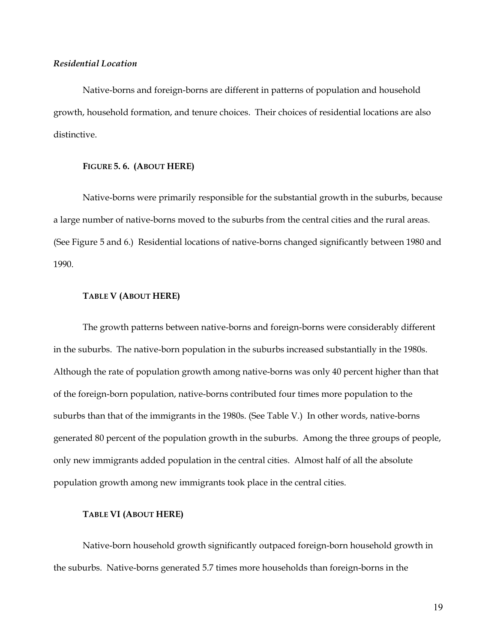## *Residential Location*

Native-borns and foreign-borns are different in patterns of population and household growth, household formation, and tenure choices. Their choices of residential locations are also distinctive.

#### **FIGURE 5. 6. (ABOUT HERE)**

Native-borns were primarily responsible for the substantial growth in the suburbs, because a large number of native-borns moved to the suburbs from the central cities and the rural areas. (See Figure 5 and 6.) Residential locations of native-borns changed significantly between 1980 and 1990.

## **TABLE V (ABOUT HERE)**

The growth patterns between native-borns and foreign-borns were considerably different in the suburbs. The native-born population in the suburbs increased substantially in the 1980s. Although the rate of population growth among native-borns was only 40 percent higher than that of the foreign-born population, native-borns contributed four times more population to the suburbs than that of the immigrants in the 1980s. (See Table V.) In other words, native-borns generated 80 percent of the population growth in the suburbs. Among the three groups of people, only new immigrants added population in the central cities. Almost half of all the absolute population growth among new immigrants took place in the central cities.

#### **TABLE VI (ABOUT HERE)**

Native-born household growth significantly outpaced foreign-born household growth in the suburbs. Native-borns generated 5.7 times more households than foreign-borns in the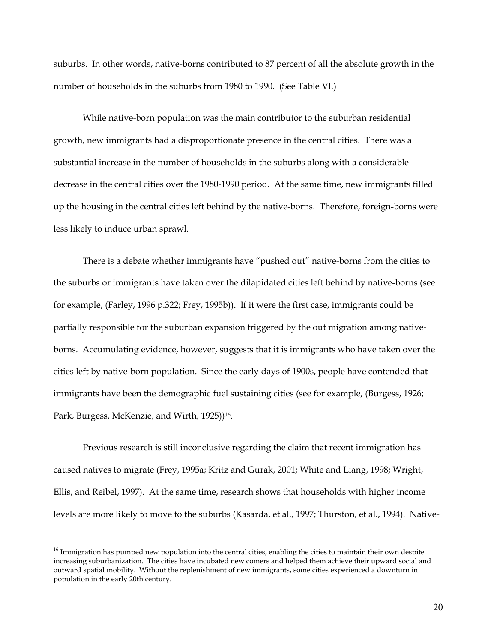suburbs. In other words, native-borns contributed to 87 percent of all the absolute growth in the number of households in the suburbs from 1980 to 1990. (See Table VI.)

While native-born population was the main contributor to the suburban residential growth, new immigrants had a disproportionate presence in the central cities. There was a substantial increase in the number of households in the suburbs along with a considerable decrease in the central cities over the 1980-1990 period. At the same time, new immigrants filled up the housing in the central cities left behind by the native-borns. Therefore, foreign-borns were less likely to induce urban sprawl.

There is a debate whether immigrants have "pushed out" native-borns from the cities to the suburbs or immigrants have taken over the dilapidated cities left behind by native-borns (see for example, (Farley, 1996 p.322; Frey, 1995b)). If it were the first case, immigrants could be partially responsible for the suburban expansion triggered by the out migration among nativeborns. Accumulating evidence, however, suggests that it is immigrants who have taken over the cities left by native-born population. Since the early days of 1900s, people have contended that immigrants have been the demographic fuel sustaining cities (see for example, (Burgess, 1926; Park, Burgess, McKenzie, and Wirth, 1925))<sup>16</sup>.

Previous research is still inconclusive regarding the claim that recent immigration has caused natives to migrate (Frey, 1995a; Kritz and Gurak, 2001; White and Liang, 1998; Wright, Ellis, and Reibel, 1997). At the same time, research shows that households with higher income levels are more likely to move to the suburbs (Kasarda, et al., 1997; Thurston, et al., 1994). Native-

<sup>&</sup>lt;sup>16</sup> Immigration has pumped new population into the central cities, enabling the cities to maintain their own despite increasing suburbanization. The cities have incubated new comers and helped them achieve their upward social and outward spatial mobility. Without the replenishment of new immigrants, some cities experienced a downturn in population in the early 20th century.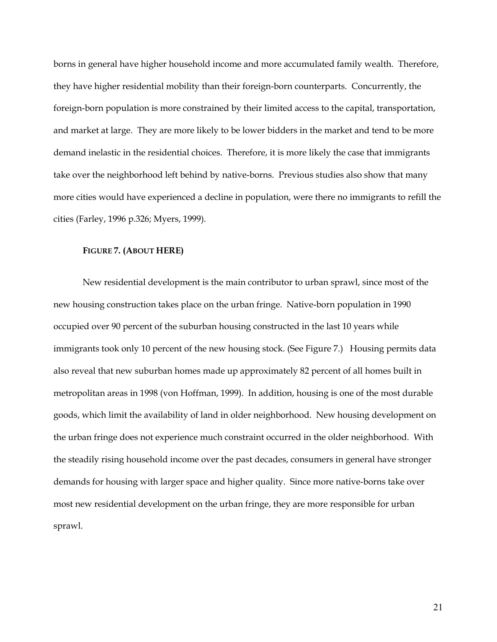borns in general have higher household income and more accumulated family wealth. Therefore, they have higher residential mobility than their foreign-born counterparts. Concurrently, the foreign-born population is more constrained by their limited access to the capital, transportation, and market at large. They are more likely to be lower bidders in the market and tend to be more demand inelastic in the residential choices. Therefore, it is more likely the case that immigrants take over the neighborhood left behind by native-borns. Previous studies also show that many more cities would have experienced a decline in population, were there no immigrants to refill the cities (Farley, 1996 p.326; Myers, 1999).

#### **FIGURE 7. (ABOUT HERE)**

New residential development is the main contributor to urban sprawl, since most of the new housing construction takes place on the urban fringe. Native-born population in 1990 occupied over 90 percent of the suburban housing constructed in the last 10 years while immigrants took only 10 percent of the new housing stock. (See Figure 7.) Housing permits data also reveal that new suburban homes made up approximately 82 percent of all homes built in metropolitan areas in 1998 (von Hoffman, 1999). In addition, housing is one of the most durable goods, which limit the availability of land in older neighborhood. New housing development on the urban fringe does not experience much constraint occurred in the older neighborhood. With the steadily rising household income over the past decades, consumers in general have stronger demands for housing with larger space and higher quality. Since more native-borns take over most new residential development on the urban fringe, they are more responsible for urban sprawl.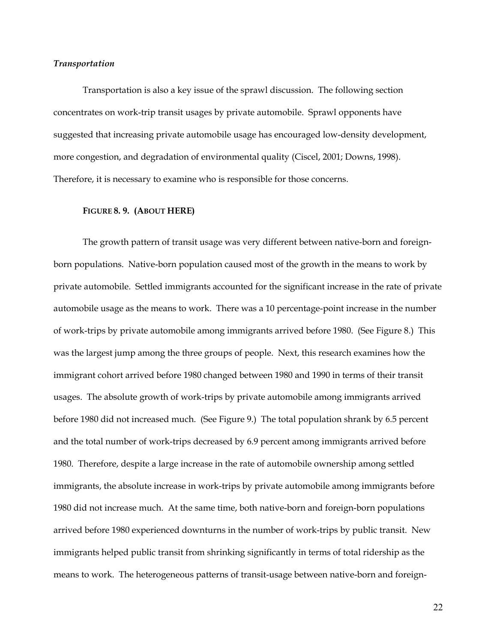#### *Transportation*

Transportation is also a key issue of the sprawl discussion. The following section concentrates on work-trip transit usages by private automobile. Sprawl opponents have suggested that increasing private automobile usage has encouraged low-density development, more congestion, and degradation of environmental quality (Ciscel, 2001; Downs, 1998). Therefore, it is necessary to examine who is responsible for those concerns.

#### **FIGURE 8. 9. (ABOUT HERE)**

The growth pattern of transit usage was very different between native-born and foreignborn populations. Native-born population caused most of the growth in the means to work by private automobile. Settled immigrants accounted for the significant increase in the rate of private automobile usage as the means to work. There was a 10 percentage-point increase in the number of work-trips by private automobile among immigrants arrived before 1980. (See Figure 8.) This was the largest jump among the three groups of people. Next, this research examines how the immigrant cohort arrived before 1980 changed between 1980 and 1990 in terms of their transit usages. The absolute growth of work-trips by private automobile among immigrants arrived before 1980 did not increased much. (See Figure 9.) The total population shrank by 6.5 percent and the total number of work-trips decreased by 6.9 percent among immigrants arrived before 1980. Therefore, despite a large increase in the rate of automobile ownership among settled immigrants, the absolute increase in work-trips by private automobile among immigrants before 1980 did not increase much. At the same time, both native-born and foreign-born populations arrived before 1980 experienced downturns in the number of work-trips by public transit. New immigrants helped public transit from shrinking significantly in terms of total ridership as the means to work. The heterogeneous patterns of transit-usage between native-born and foreign-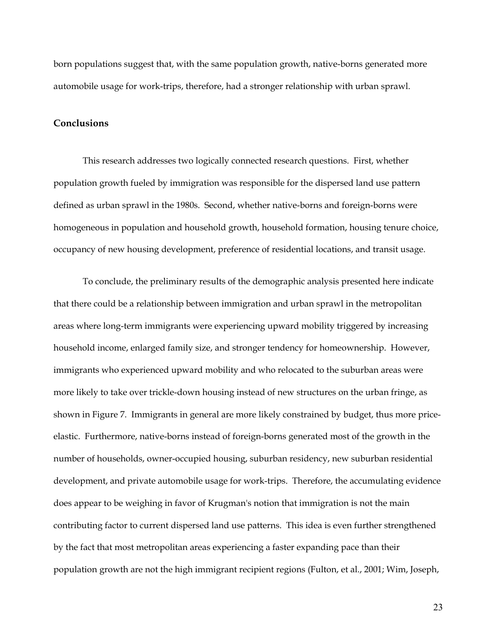born populations suggest that, with the same population growth, native-borns generated more automobile usage for work-trips, therefore, had a stronger relationship with urban sprawl.

# **Conclusions**

This research addresses two logically connected research questions. First, whether population growth fueled by immigration was responsible for the dispersed land use pattern defined as urban sprawl in the 1980s. Second, whether native-borns and foreign-borns were homogeneous in population and household growth, household formation, housing tenure choice, occupancy of new housing development, preference of residential locations, and transit usage.

To conclude, the preliminary results of the demographic analysis presented here indicate that there could be a relationship between immigration and urban sprawl in the metropolitan areas where long-term immigrants were experiencing upward mobility triggered by increasing household income, enlarged family size, and stronger tendency for homeownership. However, immigrants who experienced upward mobility and who relocated to the suburban areas were more likely to take over trickle-down housing instead of new structures on the urban fringe, as shown in Figure 7. Immigrants in general are more likely constrained by budget, thus more priceelastic. Furthermore, native-borns instead of foreign-borns generated most of the growth in the number of households, owner-occupied housing, suburban residency, new suburban residential development, and private automobile usage for work-trips. Therefore, the accumulating evidence does appear to be weighing in favor of Krugman's notion that immigration is not the main contributing factor to current dispersed land use patterns. This idea is even further strengthened by the fact that most metropolitan areas experiencing a faster expanding pace than their population growth are not the high immigrant recipient regions (Fulton, et al., 2001; Wim, Joseph,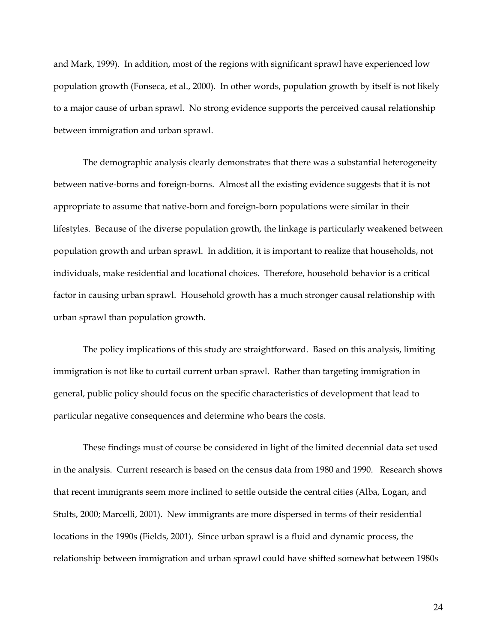and Mark, 1999). In addition, most of the regions with significant sprawl have experienced low population growth (Fonseca, et al., 2000). In other words, population growth by itself is not likely to a major cause of urban sprawl. No strong evidence supports the perceived causal relationship between immigration and urban sprawl.

The demographic analysis clearly demonstrates that there was a substantial heterogeneity between native-borns and foreign-borns. Almost all the existing evidence suggests that it is not appropriate to assume that native-born and foreign-born populations were similar in their lifestyles. Because of the diverse population growth, the linkage is particularly weakened between population growth and urban sprawl. In addition, it is important to realize that households, not individuals, make residential and locational choices. Therefore, household behavior is a critical factor in causing urban sprawl. Household growth has a much stronger causal relationship with urban sprawl than population growth.

The policy implications of this study are straightforward. Based on this analysis, limiting immigration is not like to curtail current urban sprawl. Rather than targeting immigration in general, public policy should focus on the specific characteristics of development that lead to particular negative consequences and determine who bears the costs.

These findings must of course be considered in light of the limited decennial data set used in the analysis. Current research is based on the census data from 1980 and 1990. Research shows that recent immigrants seem more inclined to settle outside the central cities (Alba, Logan, and Stults, 2000; Marcelli, 2001). New immigrants are more dispersed in terms of their residential locations in the 1990s (Fields, 2001). Since urban sprawl is a fluid and dynamic process, the relationship between immigration and urban sprawl could have shifted somewhat between 1980s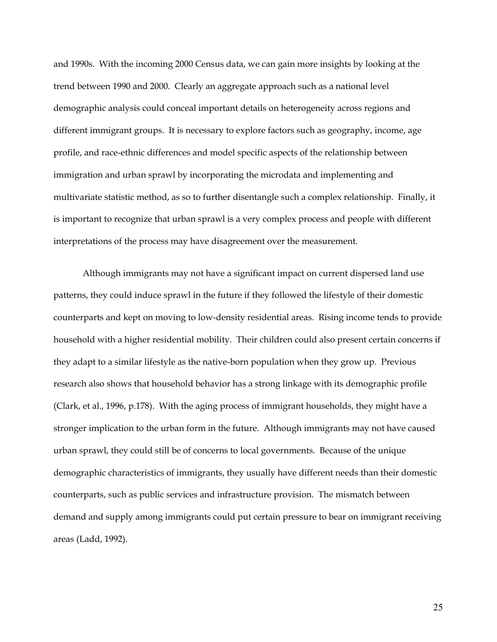and 1990s. With the incoming 2000 Census data, we can gain more insights by looking at the trend between 1990 and 2000. Clearly an aggregate approach such as a national level demographic analysis could conceal important details on heterogeneity across regions and different immigrant groups. It is necessary to explore factors such as geography, income, age profile, and race-ethnic differences and model specific aspects of the relationship between immigration and urban sprawl by incorporating the microdata and implementing and multivariate statistic method, as so to further disentangle such a complex relationship. Finally, it is important to recognize that urban sprawl is a very complex process and people with different interpretations of the process may have disagreement over the measurement.

Although immigrants may not have a significant impact on current dispersed land use patterns, they could induce sprawl in the future if they followed the lifestyle of their domestic counterparts and kept on moving to low-density residential areas. Rising income tends to provide household with a higher residential mobility. Their children could also present certain concerns if they adapt to a similar lifestyle as the native-born population when they grow up. Previous research also shows that household behavior has a strong linkage with its demographic profile (Clark, et al., 1996, p.178). With the aging process of immigrant households, they might have a stronger implication to the urban form in the future. Although immigrants may not have caused urban sprawl, they could still be of concerns to local governments. Because of the unique demographic characteristics of immigrants, they usually have different needs than their domestic counterparts, such as public services and infrastructure provision. The mismatch between demand and supply among immigrants could put certain pressure to bear on immigrant receiving areas (Ladd, 1992).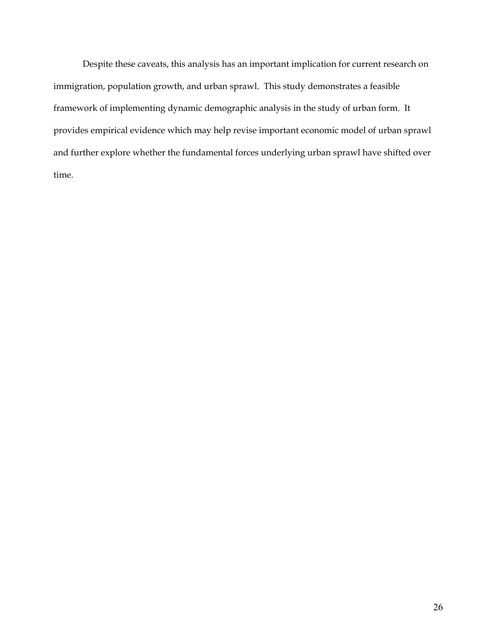Despite these caveats, this analysis has an important implication for current research on immigration, population growth, and urban sprawl. This study demonstrates a feasible framework of implementing dynamic demographic analysis in the study of urban form. It provides empirical evidence which may help revise important economic model of urban sprawl and further explore whether the fundamental forces underlying urban sprawl have shifted over time.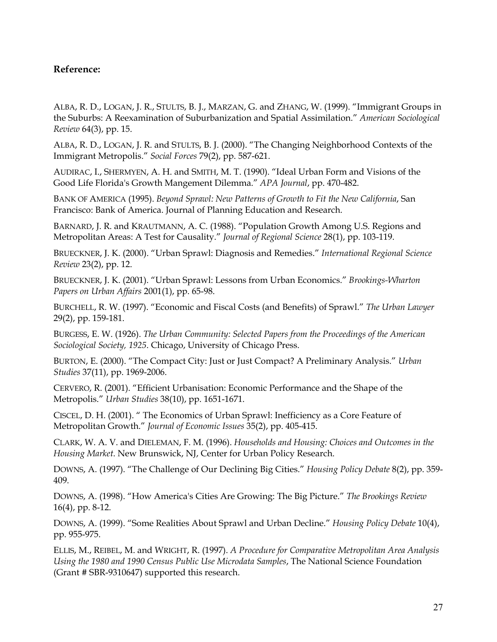# **Reference:**

ALBA, R. D., LOGAN, J. R., STULTS, B. J., MARZAN, G. and ZHANG, W. (1999). "Immigrant Groups in the Suburbs: A Reexamination of Suburbanization and Spatial Assimilation." *American Sociological Review* 64(3), pp. 15.

ALBA, R. D., LOGAN, J. R. and STULTS, B. J. (2000). "The Changing Neighborhood Contexts of the Immigrant Metropolis." *Social Forces* 79(2), pp. 587-621.

AUDIRAC, I., SHERMYEN, A. H. and SMITH, M. T. (1990). "Ideal Urban Form and Visions of the Good Life Florida's Growth Mangement Dilemma." *APA Journal*, pp. 470-482.

BANK OF AMERICA (1995). *Beyond Sprawl: New Patterns of Growth to Fit the New California*, San Francisco: Bank of America. Journal of Planning Education and Research.

BARNARD, J. R. and KRAUTMANN, A. C. (1988). "Population Growth Among U.S. Regions and Metropolitan Areas: A Test for Causality." *Journal of Regional Science* 28(1), pp. 103-119.

BRUECKNER, J. K. (2000). "Urban Sprawl: Diagnosis and Remedies." *International Regional Science Review* 23(2), pp. 12.

BRUECKNER, J. K. (2001). "Urban Sprawl: Lessons from Urban Economics." *Brookings-Wharton Papers on Urban Affairs* 2001(1), pp. 65-98.

BURCHELL, R. W. (1997). "Economic and Fiscal Costs (and Benefits) of Sprawl." *The Urban Lawyer* 29(2), pp. 159-181.

BURGESS, E. W. (1926). *The Urban Community: Selected Papers from the Proceedings of the American Sociological Society, 1925*. Chicago, University of Chicago Press.

BURTON, E. (2000). "The Compact City: Just or Just Compact? A Preliminary Analysis." *Urban Studies* 37(11), pp. 1969-2006.

CERVERO, R. (2001). "Efficient Urbanisation: Economic Performance and the Shape of the Metropolis." *Urban Studies* 38(10), pp. 1651-1671.

CISCEL, D. H. (2001). " The Economics of Urban Sprawl: Inefficiency as a Core Feature of Metropolitan Growth." *Journal of Economic Issues* 35(2), pp. 405-415.

CLARK, W. A. V. and DIELEMAN, F. M. (1996). *Households and Housing: Choices and Outcomes in the Housing Market*. New Brunswick, NJ, Center for Urban Policy Research.

DOWNS, A. (1997). "The Challenge of Our Declining Big Cities." *Housing Policy Debate* 8(2), pp. 359- 409.

DOWNS, A. (1998). "How America's Cities Are Growing: The Big Picture." *The Brookings Review* 16(4), pp. 8-12.

DOWNS, A. (1999). "Some Realities About Sprawl and Urban Decline." *Housing Policy Debate* 10(4), pp. 955-975.

ELLIS, M., REIBEL, M. and WRIGHT, R. (1997). *A Procedure for Comparative Metropolitan Area Analysis Using the 1980 and 1990 Census Public Use Microdata Samples*, The National Science Foundation (Grant # SBR-9310647) supported this research.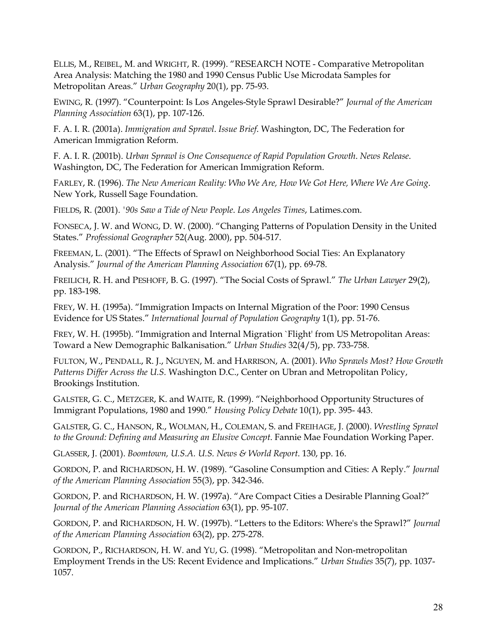ELLIS, M., REIBEL, M. and WRIGHT, R. (1999). "RESEARCH NOTE - Comparative Metropolitan Area Analysis: Matching the 1980 and 1990 Census Public Use Microdata Samples for Metropolitan Areas." *Urban Geography* 20(1), pp. 75-93.

EWING, R. (1997). "Counterpoint: Is Los Angeles-Style Sprawl Desirable?" *Journal of the American Planning Association* 63(1), pp. 107-126.

F. A. I. R. (2001a). *Immigration and Sprawl*. *Issue Brief*. Washington, DC, The Federation for American Immigration Reform.

F. A. I. R. (2001b). *Urban Sprawl is One Consequence of Rapid Population Growth*. *News Release*. Washington, DC, The Federation for American Immigration Reform.

FARLEY, R. (1996). *The New American Reality: Who We Are, How We Got Here, Where We Are Going*. New York, Russell Sage Foundation.

FIELDS, R. (2001). *'90s Saw a Tide of New People*. *Los Angeles Times*, Latimes.com.

FONSECA, J. W. and WONG, D. W. (2000). "Changing Patterns of Population Density in the United States." *Professional Geographer* 52(Aug. 2000), pp. 504-517.

FREEMAN, L. (2001). "The Effects of Sprawl on Neighborhood Social Ties: An Explanatory Analysis." *Journal of the American Planning Association* 67(1), pp. 69-78.

FREILICH, R. H. and PESHOFF, B. G. (1997). "The Social Costs of Sprawl." *The Urban Lawyer* 29(2), pp. 183-198.

FREY, W. H. (1995a). "Immigration Impacts on Internal Migration of the Poor: 1990 Census Evidence for US States." *International Journal of Population Geography* 1(1), pp. 51-76.

FREY, W. H. (1995b). "Immigration and Internal Migration `Flight' from US Metropolitan Areas: Toward a New Demographic Balkanisation." *Urban Studies* 32(4/5), pp. 733-758.

FULTON, W., PENDALL, R. J., NGUYEN, M. and HARRISON, A. (2001). *Who Sprawls Most? How Growth Patterns Differ Across the U.S.* Washington D.C., Center on Ubran and Metropolitan Policy, Brookings Institution.

GALSTER, G. C., METZGER, K. and WAITE, R. (1999). "Neighborhood Opportunity Structures of Immigrant Populations, 1980 and 1990." *Housing Policy Debate* 10(1), pp. 395- 443.

GALSTER, G. C., HANSON, R., WOLMAN, H., COLEMAN, S. and FREIHAGE, J. (2000). *Wrestling Sprawl to the Ground: Defining and Measuring an Elusive Concept*. Fannie Mae Foundation Working Paper.

GLASSER, J. (2001). *Boomtown, U.S.A. U.S. News & World Report*. 130, pp. 16.

GORDON, P. and RICHARDSON, H. W. (1989). "Gasoline Consumption and Cities: A Reply." *Journal of the American Planning Association* 55(3), pp. 342-346.

GORDON, P. and RICHARDSON, H. W. (1997a). "Are Compact Cities a Desirable Planning Goal?" *Journal of the American Planning Association* 63(1), pp. 95-107.

GORDON, P. and RICHARDSON, H. W. (1997b). "Letters to the Editors: Where's the Sprawl?" *Journal of the American Planning Association* 63(2), pp. 275-278.

GORDON, P., RICHARDSON, H. W. and YU, G. (1998). "Metropolitan and Non-metropolitan Employment Trends in the US: Recent Evidence and Implications." *Urban Studies* 35(7), pp. 1037- 1057.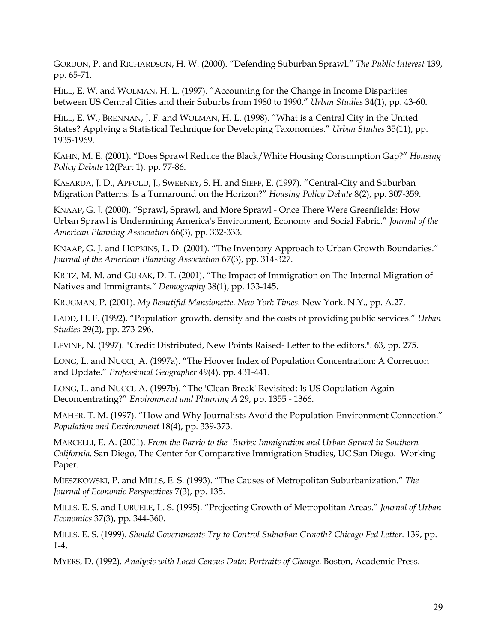GORDON, P. and RICHARDSON, H. W. (2000). "Defending Suburban Sprawl." *The Public Interest* 139, pp. 65-71.

HILL, E. W. and WOLMAN, H. L. (1997). "Accounting for the Change in Income Disparities between US Central Cities and their Suburbs from 1980 to 1990." *Urban Studies* 34(1), pp. 43-60.

HILL, E. W., BRENNAN, J. F. and WOLMAN, H. L. (1998). "What is a Central City in the United States? Applying a Statistical Technique for Developing Taxonomies." *Urban Studies* 35(11), pp. 1935-1969.

KAHN, M. E. (2001). "Does Sprawl Reduce the Black/White Housing Consumption Gap?" *Housing Policy Debate* 12(Part 1), pp. 77-86.

KASARDA, J. D., APPOLD, J., SWEENEY, S. H. and SIEFF, E. (1997). "Central-City and Suburban Migration Patterns: Is a Turnaround on the Horizon?" *Housing Policy Debate* 8(2), pp. 307-359.

KNAAP, G. J. (2000). "Sprawl, Sprawl, and More Sprawl - Once There Were Greenfields: How Urban Sprawl is Undermining America's Environment, Economy and Social Fabric." *Journal of the American Planning Association* 66(3), pp. 332-333.

KNAAP, G. J. and HOPKINS, L. D. (2001). "The Inventory Approach to Urban Growth Boundaries." *Journal of the American Planning Association* 67(3), pp. 314-327.

KRITZ, M. M. and GURAK, D. T. (2001). "The Impact of Immigration on The Internal Migration of Natives and Immigrants." *Demography* 38(1), pp. 133-145.

KRUGMAN, P. (2001). *My Beautiful Mansionette*. *New York Times*. New York, N.Y., pp. A.27.

LADD, H. F. (1992). "Population growth, density and the costs of providing public services." *Urban Studies* 29(2), pp. 273-296.

LEVINE, N. (1997). "Credit Distributed, New Points Raised- Letter to the editors.". 63, pp. 275.

LONG, L. and NUCCI, A. (1997a). "The Hoover Index of Population Concentration: A Correcuon and Update." *Professional Geographer* 49(4), pp. 431-441.

LONG, L. and NUCCI, A. (1997b). "The 'Clean Break' Revisited: Is US Oopulation Again Deconcentrating?" *Environment and Planning A* 29, pp. 1355 - 1366.

MAHER, T. M. (1997). "How and Why Journalists Avoid the Population-Environment Connection." *Population and Environment* 18(4), pp. 339-373.

MARCELLI, E. A. (2001). *From the Barrio to the 'Burbs: Immigration and Urban Sprawl in Southern California*. San Diego, The Center for Comparative Immigration Studies, UC San Diego. Working Paper.

MIESZKOWSKI, P. and MILLS, E. S. (1993). "The Causes of Metropolitan Suburbanization." *The Journal of Economic Perspectives* 7(3), pp. 135.

MILLS, E. S. and LUBUELE, L. S. (1995). "Projecting Growth of Metropolitan Areas." *Journal of Urban Economics* 37(3), pp. 344-360.

MILLS, E. S. (1999). *Should Governments Try to Control Suburban Growth? Chicago Fed Letter*. 139, pp. 1-4.

MYERS, D. (1992). *Analysis with Local Census Data: Portraits of Change*. Boston, Academic Press.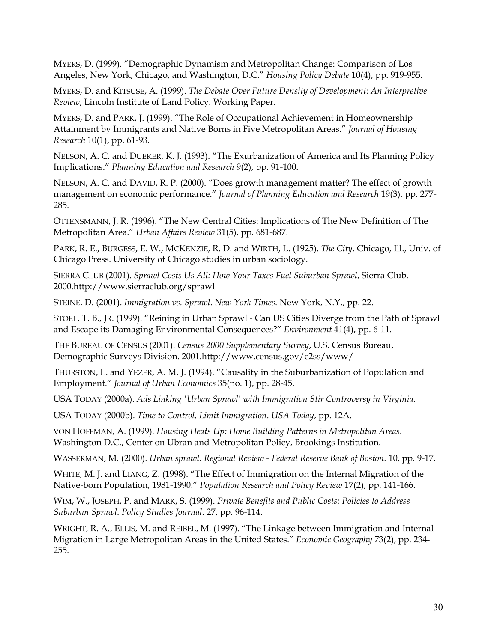MYERS, D. (1999). "Demographic Dynamism and Metropolitan Change: Comparison of Los Angeles, New York, Chicago, and Washington, D.C." *Housing Policy Debate* 10(4), pp. 919-955.

MYERS, D. and KITSUSE, A. (1999). *The Debate Over Future Density of Development: An Interpretive Review*, Lincoln Institute of Land Policy. Working Paper.

MYERS, D. and PARK, J. (1999). "The Role of Occupational Achievement in Homeownership Attainment by Immigrants and Native Borns in Five Metropolitan Areas." *Journal of Housing Research* 10(1), pp. 61-93.

NELSON, A. C. and DUEKER, K. J. (1993). "The Exurbanization of America and Its Planning Policy Implications." *Planning Education and Research* 9(2), pp. 91-100.

NELSON, A. C. and DAVID, R. P. (2000). "Does growth management matter? The effect of growth management on economic performance." *Journal of Planning Education and Research* 19(3), pp. 277- 285.

OTTENSMANN, J. R. (1996). "The New Central Cities: Implications of The New Definition of The Metropolitan Area." *Urban Affairs Review* 31(5), pp. 681-687.

PARK, R. E., BURGESS, E. W., MCKENZIE, R. D. and WIRTH, L. (1925). *The City*. Chicago, Ill., Univ. of Chicago Press. University of Chicago studies in urban sociology.

SIERRA CLUB (2001). *Sprawl Costs Us All: How Your Taxes Fuel Suburban Sprawl*, Sierra Club. 2000.http://www.sierraclub.org/sprawl

STEINE, D. (2001). *Immigration vs. Sprawl*. *New York Times*. New York, N.Y., pp. 22.

STOEL, T. B., JR. (1999). "Reining in Urban Sprawl - Can US Cities Diverge from the Path of Sprawl and Escape its Damaging Environmental Consequences?" *Environment* 41(4), pp. 6-11.

THE BUREAU OF CENSUS (2001). *Census 2000 Supplementary Survey*, U.S. Census Bureau, Demographic Surveys Division. 2001.http://www.census.gov/c2ss/www/

THURSTON, L. and YEZER, A. M. J. (1994). "Causality in the Suburbanization of Population and Employment." *Journal of Urban Economics* 35(no. 1), pp. 28-45.

USA TODAY (2000a). *Ads Linking 'Urban Sprawl' with Immigration Stir Controversy in Virginia*.

USA TODAY (2000b). *Time to Control, Limit Immigration*. *USA Today*, pp. 12A.

VON HOFFMAN, A. (1999). *Housing Heats Up: Home Building Patterns in Metropolitan Areas*. Washington D.C., Center on Ubran and Metropolitan Policy, Brookings Institution.

WASSERMAN, M. (2000). *Urban sprawl*. *Regional Review - Federal Reserve Bank of Boston*. 10, pp. 9-17.

WHITE, M. J. and LIANG, Z. (1998). "The Effect of Immigration on the Internal Migration of the Native-born Population, 1981-1990." *Population Research and Policy Review* 17(2), pp. 141-166.

WIM, W., JOSEPH, P. and MARK, S. (1999). *Private Benefits and Public Costs: Policies to Address Suburban Sprawl*. *Policy Studies Journal*. 27, pp. 96-114.

WRIGHT, R. A., ELLIS, M. and REIBEL, M. (1997). "The Linkage between Immigration and Internal Migration in Large Metropolitan Areas in the United States." *Economic Geography* 73(2), pp. 234- 255.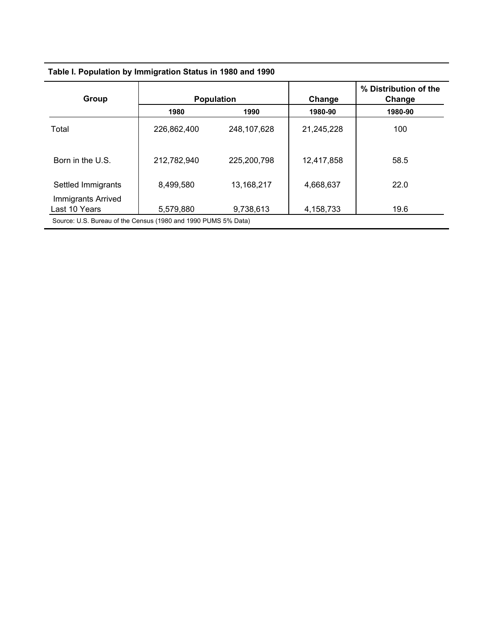| Table I. Population by Immigration Status in 1980 and 1990     |             |                   |            |                                 |  |  |
|----------------------------------------------------------------|-------------|-------------------|------------|---------------------------------|--|--|
| Group                                                          |             | <b>Population</b> | Change     | % Distribution of the<br>Change |  |  |
|                                                                | 1980        | 1990              | 1980-90    | 1980-90                         |  |  |
| Total                                                          | 226,862,400 | 248,107,628       | 21,245,228 | 100                             |  |  |
| Born in the U.S.                                               | 212,782,940 | 225,200,798       | 12,417,858 | 58.5                            |  |  |
| Settled Immigrants                                             | 8,499,580   | 13,168,217        | 4,668,637  | 22.0                            |  |  |
| Immigrants Arrived<br>Last 10 Years                            | 5,579,880   | 9,738,613         | 4,158,733  | 19.6                            |  |  |
| Source: U.S. Bureau of the Census (1980 and 1990 PUMS 5% Data) |             |                   |            |                                 |  |  |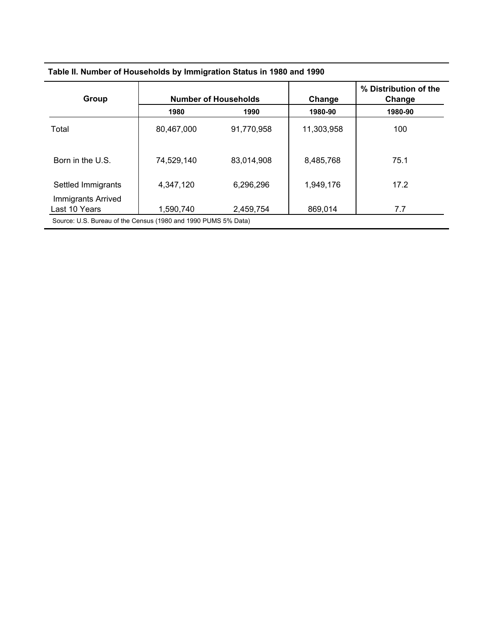| Group                                      |            | <b>Number of Households</b> | Change     | % Distribution of the<br>Change |  |
|--------------------------------------------|------------|-----------------------------|------------|---------------------------------|--|
|                                            | 1980       | 1990                        | 1980-90    | 1980-90                         |  |
| Total                                      | 80,467,000 | 91,770,958                  | 11,303,958 | 100                             |  |
| Born in the U.S.                           | 74,529,140 | 83,014,908                  | 8,485,768  | 75.1                            |  |
| Settled Immigrants                         | 4,347,120  | 6,296,296                   | 1,949,176  | 17.2                            |  |
| <b>Immigrants Arrived</b><br>Last 10 Years | 1,590,740  | 2,459,754                   | 869,014    | 7.7                             |  |

#### **Table II. Number of Households by Immigration Status in 1980 and 1990**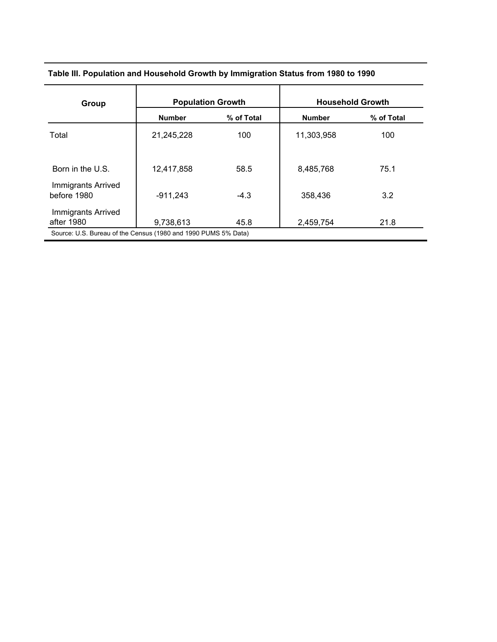| Table III. Population and Household Growth by Immigration Status from 1980 to 1990 |  |
|------------------------------------------------------------------------------------|--|
|                                                                                    |  |

| Group                                                          | <b>Population Growth</b> |            | <b>Household Growth</b> |            |  |  |
|----------------------------------------------------------------|--------------------------|------------|-------------------------|------------|--|--|
|                                                                | <b>Number</b>            | % of Total | <b>Number</b>           | % of Total |  |  |
| Total                                                          | 21,245,228               | 100        | 11,303,958              | 100        |  |  |
| Born in the U.S.                                               | 12,417,858               | 58.5       | 8,485,768               | 75.1       |  |  |
| Immigrants Arrived<br>before 1980                              | $-911,243$               | $-4.3$     | 358,436                 | 3.2        |  |  |
| <b>Immigrants Arrived</b><br>after 1980                        | 9,738,613                | 45.8       | 2,459,754               | 21.8       |  |  |
| Source: U.S. Bureau of the Census (1980 and 1990 PUMS 5% Data) |                          |            |                         |            |  |  |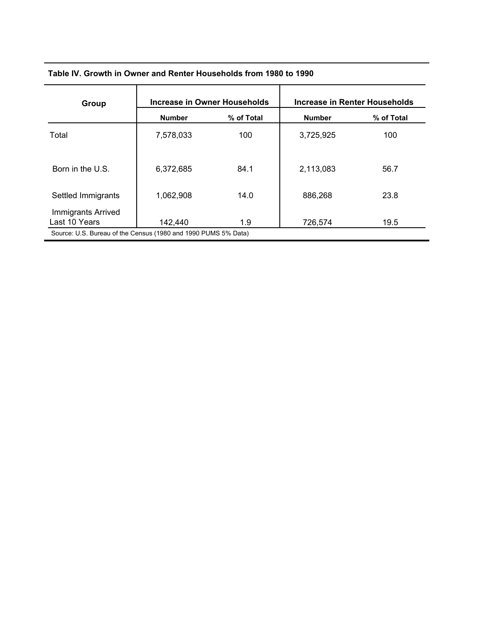| Table IV. Growth in Owner and Renter Households from 1980 to 1990 |  |
|-------------------------------------------------------------------|--|
|                                                                   |  |

| Group                                                                                                 | Increase in Owner Households |            | Increase in Renter Households |            |
|-------------------------------------------------------------------------------------------------------|------------------------------|------------|-------------------------------|------------|
|                                                                                                       | <b>Number</b>                | % of Total | <b>Number</b>                 | % of Total |
| Total                                                                                                 | 7,578,033                    | 100        | 3,725,925                     | 100        |
| Born in the U.S.                                                                                      | 6,372,685                    | 84.1       | 2,113,083                     | 56.7       |
| Settled Immigrants                                                                                    | 1,062,908                    | 14.0       | 886,268                       | 23.8       |
| Immigrants Arrived<br>Last 10 Years<br>Source: U.S. Bureau of the Census (1980 and 1990 PUMS 5% Data) | 142,440                      | 1.9        | 726,574                       | 19.5       |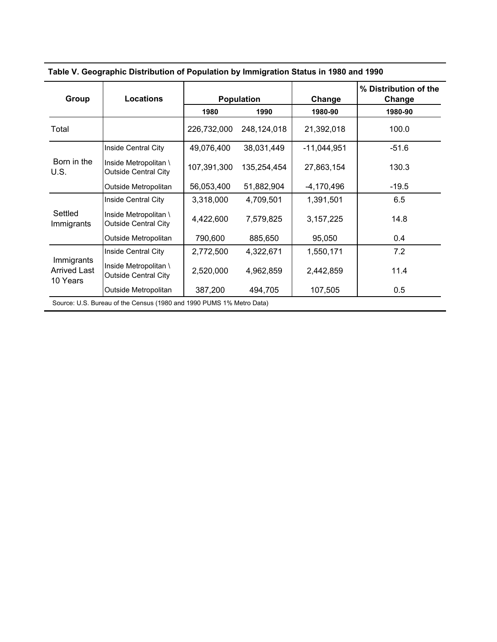| Group                                                                | <b>Locations</b>                                     |             | <b>Population</b> | Change        | % Distribution of the<br>Change |  |
|----------------------------------------------------------------------|------------------------------------------------------|-------------|-------------------|---------------|---------------------------------|--|
|                                                                      |                                                      | 1980        | 1990              | 1980-90       | 1980-90                         |  |
| Total                                                                |                                                      | 226,732,000 | 248,124,018       | 21,392,018    | 100.0                           |  |
|                                                                      | Inside Central City                                  | 49,076,400  | 38,031,449        | $-11,044,951$ | $-51.6$                         |  |
| Born in the<br>U.S.                                                  | Inside Metropolitan \<br><b>Outside Central City</b> | 107,391,300 | 135,254,454       | 27,863,154    | 130.3                           |  |
|                                                                      | Outside Metropolitan                                 | 56,053,400  | 51,882,904        | $-4,170,496$  | $-19.5$                         |  |
|                                                                      | Inside Central City                                  | 3,318,000   | 4,709,501         | 1,391,501     | 6.5                             |  |
| Settled<br>Immigrants                                                | Inside Metropolitan \<br><b>Outside Central City</b> | 4,422,600   | 7,579,825         | 3, 157, 225   | 14.8                            |  |
|                                                                      | Outside Metropolitan                                 | 790,600     | 885,650           | 95,050        | 0.4                             |  |
|                                                                      | Inside Central City                                  | 2,772,500   | 4,322,671         | 1,550,171     | 7.2                             |  |
| Immigrants<br><b>Arrived Last</b><br>10 Years                        | Inside Metropolitan \<br><b>Outside Central City</b> | 2,520,000   | 4,962,859         | 2,442,859     | 11.4                            |  |
|                                                                      | Outside Metropolitan                                 | 387,200     | 494,705           | 107,505       | 0.5                             |  |
| Source: U.S. Bureau of the Census (1980 and 1990 PUMS 1% Metro Data) |                                                      |             |                   |               |                                 |  |

 **Table V. Geographic Distribution of Population by Immigration Status in 1980 and 1990**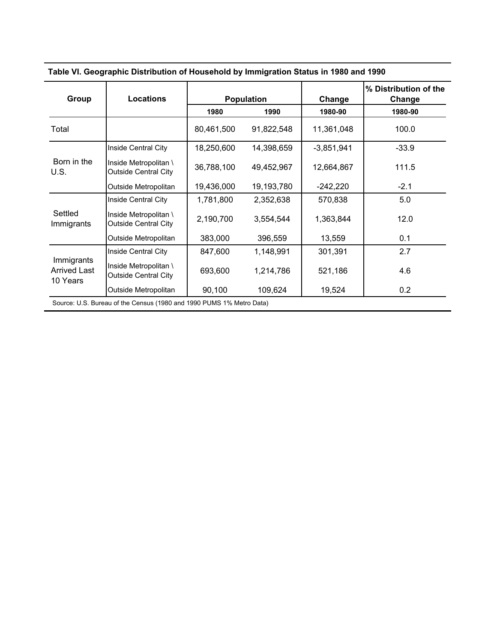| Group                                                                | <b>Locations</b>                                     |            | <b>Population</b> | Change       | % Distribution of the<br>Change |  |
|----------------------------------------------------------------------|------------------------------------------------------|------------|-------------------|--------------|---------------------------------|--|
|                                                                      |                                                      | 1980       | 1990              | 1980-90      | 1980-90                         |  |
| Total                                                                |                                                      | 80,461,500 | 91,822,548        | 11,361,048   | 100.0                           |  |
|                                                                      | Inside Central City                                  | 18,250,600 | 14,398,659        | $-3,851,941$ | $-33.9$                         |  |
| Born in the<br>U.S.                                                  | Inside Metropolitan \<br><b>Outside Central City</b> | 36,788,100 | 49,452,967        | 12,664,867   | 111.5                           |  |
|                                                                      | Outside Metropolitan                                 | 19,436,000 | 19,193,780        | $-242,220$   | $-2.1$                          |  |
|                                                                      | Inside Central City                                  | 1,781,800  | 2,352,638         | 570,838      | 5.0                             |  |
| Settled<br>Immigrants                                                | Inside Metropolitan \<br><b>Outside Central City</b> | 2,190,700  | 3,554,544         | 1,363,844    | 12.0                            |  |
|                                                                      | Outside Metropolitan                                 | 383,000    | 396,559           | 13,559       | 0.1                             |  |
|                                                                      | Inside Central City                                  | 847,600    | 1,148,991         | 301,391      | 2.7                             |  |
| Immigrants<br><b>Arrived Last</b><br>10 Years                        | Inside Metropolitan \<br><b>Outside Central City</b> | 693,600    | 1,214,786         | 521,186      | 4.6                             |  |
|                                                                      | Outside Metropolitan                                 | 90,100     | 109,624           | 19,524       | 0.2                             |  |
| Source: U.S. Bureau of the Census (1980 and 1990 PUMS 1% Metro Data) |                                                      |            |                   |              |                                 |  |

 **Table VI. Geographic Distribution of Household by Immigration Status in 1980 and 1990**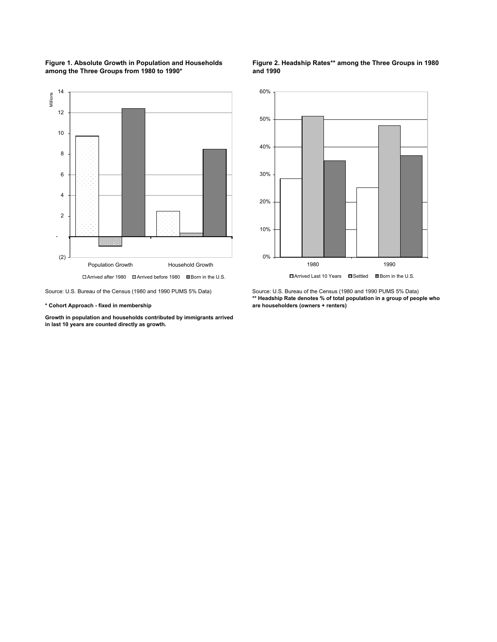



Source: U.S. Bureau of the Census (1980 and 1990 PUMS 5% Data) Source: U.S. Bureau of the Census (1980 and 1990 PUMS 5% Data)

**\* Cohort Approach - fixed in membership**

**Growth in population and households contributed by immigrants arrived in last 10 years are counted directly as growth.** 

#### **Figure 2. Headship Rates\*\* among the Three Groups in 1980 and 1990**



**\*\* Headship Rate denotes % of total population in a group of people who are householders (owners + renters)**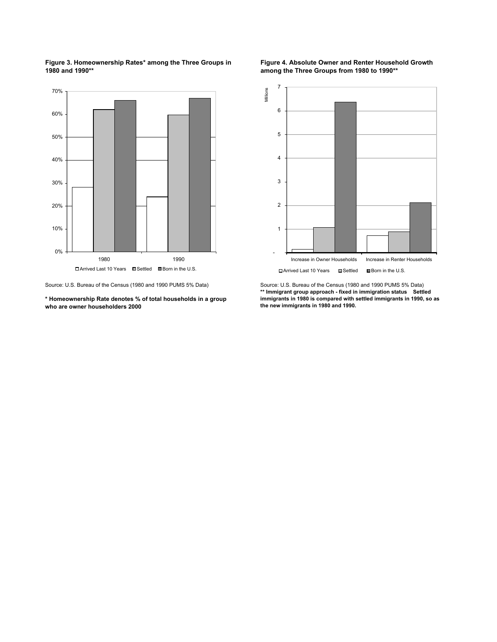**Figure 3. Homeownership Rates\* among the Three Groups in 1980 and 1990\*\***



**\* Homeownership Rate denotes % of total households in a group who are owner householders 2000**

**Figure 4. Absolute Owner and Renter Household Growth among the Three Groups from 1980 to 1990\*\***



Source: U.S. Bureau of the Census (1980 and 1990 PUMS 5% Data) Source: U.S. Bureau of the Census (1980 and 1990 PUMS 5% Data) **\*\* Immigrant group approach - fixed in immigration status Settled immigrants in 1980 is compared with settled immigrants in 1990, so as the new immigrants in 1980 and 1990.**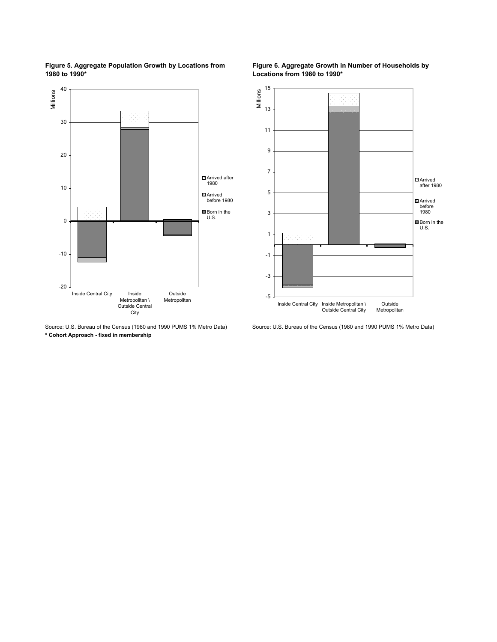

**Figure 5. Aggregate Population Growth by Locations from 1980 to 1990\***

**\* Cohort Approach - fixed in membership**



**Figure 6. Aggregate Growth in Number of Households by Locations from 1980 to 1990\***

Source: U.S. Bureau of the Census (1980 and 1990 PUMS 1% Metro Data) Source: U.S. Bureau of the Census (1980 and 1990 PUMS 1% Metro Data)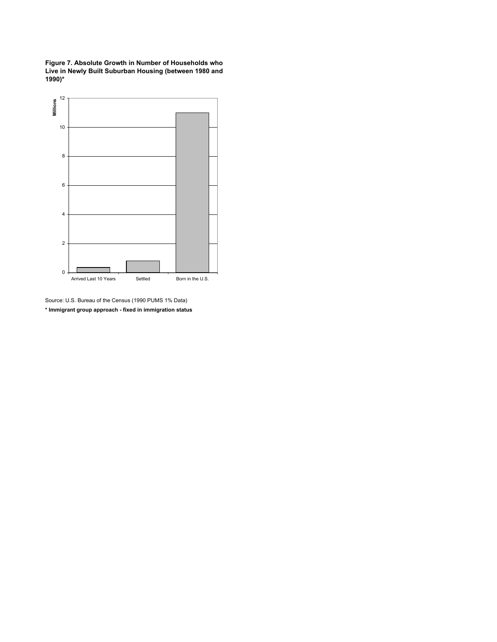**Figure 7. Absolute Growth in Number of Households who Live in Newly Built Suburban Housing (between 1980 and 1990)\***



Source: U.S. Bureau of the Census (1990 PUMS 1% Data) **\* Immigrant group approach - fixed in immigration status**